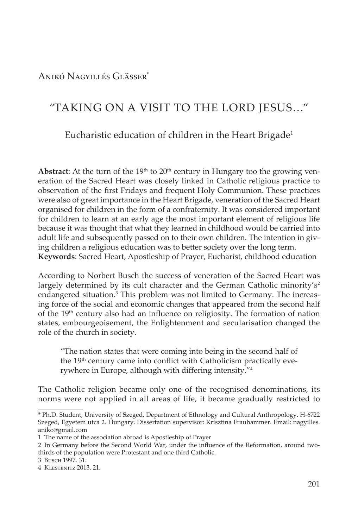Anikó Nagyillés Glässer\*

# "TAKING ON A VISIT TO THE LORD JESUS…"

## Eucharistic education of children in the Heart Brigade<sup>1</sup>

**Abstract:** At the turn of the  $19<sup>th</sup>$  to  $20<sup>th</sup>$  century in Hungary too the growing veneration of the Sacred Heart was closely linked in Catholic religious practice to observation of the first Fridays and frequent Holy Communion. These practices were also of great importance in the Heart Brigade, veneration of the Sacred Heart organised for children in the form of a confraternity. It was considered important for children to learn at an early age the most important element of religious life because it was thought that what they learned in childhood would be carried into adult life and subsequently passed on to their own children. The intention in giving children a religious education was to better society over the long term. **Keywords**: Sacred Heart, Apostleship of Prayer, Eucharist, childhood education

According to Norbert Busch the success of veneration of the Sacred Heart was largely determined by its cult character and the German Catholic minority's<sup>2</sup> endangered situation.<sup>3</sup> This problem was not limited to Germany. The increasing force of the social and economic changes that appeared from the second half of the 19<sup>th</sup> century also had an influence on religiosity. The formation of nation states, embourgeoisement, the Enlightenment and secularisation changed the role of the church in society.

"The nation states that were coming into being in the second half of the 19<sup>th</sup> century came into conflict with Catholicism practically everywhere in Europe, although with differing intensity."<sup>4</sup>

The Catholic religion became only one of the recognised denominations, its norms were not applied in all areas of life, it became gradually restricted to

<sup>\*</sup> Ph.D. Student, University of Szeged, Department of Ethnology and Cultural Anthropology. H-6722 Szeged, Egyetem utca 2. Hungary. Dissertation supervisor: Krisztina Frauhammer. Email: nagyilles. aniko@gmail.com

<sup>1</sup> The name of the association abroad is Apostleship of Prayer

<sup>2</sup> In Germany before the Second World War, under the influence of the Reformation, around twothirds of the population were Protestant and one third Catholic.

<sup>3</sup> Busch 1997. 31.

<sup>4</sup> Klestenitz 2013. 21.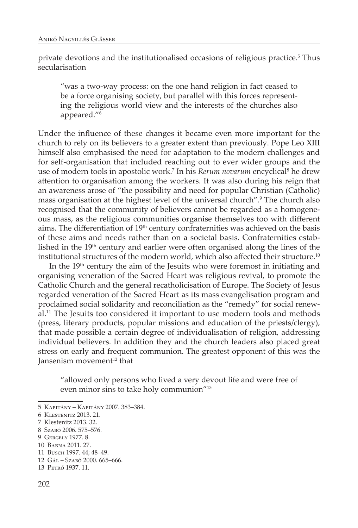private devotions and the institutionalised occasions of religious practice.<sup>5</sup> Thus secularisation

"was a two-way process: on the one hand religion in fact ceased to be a force organising society, but parallel with this forces representing the religious world view and the interests of the churches also appeared."6

Under the influence of these changes it became even more important for the church to rely on its believers to a greater extent than previously. Pope Leo XIII himself also emphasised the need for adaptation to the modern challenges and for self-organisation that included reaching out to ever wider groups and the use of modern tools in apostolic work.<sup>7</sup> In his *Rerum novarum* encyclical<sup>8</sup> he drew attention to organisation among the workers. It was also during his reign that an awareness arose of "the possibility and need for popular Christian (Catholic) mass organisation at the highest level of the universal church".9 The church also recognised that the community of believers cannot be regarded as a homogeneous mass, as the religious communities organise themselves too with different aims. The differentiation of 19<sup>th</sup> century confraternities was achieved on the basis of these aims and needs rather than on a societal basis. Confraternities established in the 19<sup>th</sup> century and earlier were often organised along the lines of the institutional structures of the modern world, which also affected their structure.<sup>10</sup>

In the  $19<sup>th</sup>$  century the aim of the Jesuits who were foremost in initiating and organising veneration of the Sacred Heart was religious revival, to promote the Catholic Church and the general recatholicisation of Europe. The Society of Jesus regarded veneration of the Sacred Heart as its mass evangelisation program and proclaimed social solidarity and reconciliation as the "remedy" for social renewal.11 The Jesuits too considered it important to use modern tools and methods (press, literary products, popular missions and education of the priests/clergy), that made possible a certain degree of individualisation of religion, addressing individual believers. In addition they and the church leaders also placed great stress on early and frequent communion. The greatest opponent of this was the Jansenism movement $12$  that

"allowed only persons who lived a very devout life and were free of even minor sins to take holy communion"13

<sup>5</sup> Kapitány – Kapitány 2007. 383–384.

<sup>6</sup> Klestenitz 2013. 21.

<sup>7</sup> Klestenitz 2013. 32.

<sup>8</sup> Szabó 2006. 575–576.

<sup>9</sup> Gergely 1977. 8.

<sup>10</sup> Barna 2011. 27.

<sup>11</sup> Busch 1997. 44; 48–49.

<sup>12</sup> Gál – Szabó 2000. 665–666.

<sup>13</sup> Petró 1937. 11.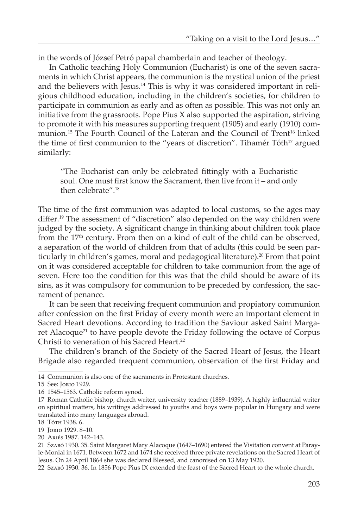in the words of József Petró papal chamberlain and teacher of theology.

In Catholic teaching Holy Communion (Eucharist) is one of the seven sacraments in which Christ appears, the communion is the mystical union of the priest and the believers with Jesus.<sup>14</sup> This is why it was considered important in religious childhood education, including in the children's societies, for children to participate in communion as early and as often as possible. This was not only an initiative from the grassroots. Pope Pius X also supported the aspiration, striving to promote it with his measures supporting frequent (1905) and early (1910) communion.<sup>15</sup> The Fourth Council of the Lateran and the Council of Trent<sup>16</sup> linked the time of first communion to the "years of discretion". Tihamér Tóth<sup>17</sup> argued similarly:

"The Eucharist can only be celebrated fittingly with a Eucharistic soul. One must first know the Sacrament, then live from it – and only then celebrate".18

The time of the first communion was adapted to local customs, so the ages may differ.19 The assessment of "discretion" also depended on the way children were judged by the society. A significant change in thinking about children took place from the  $17<sup>th</sup>$  century. From then on a kind of cult of the child can be observed, a separation of the world of children from that of adults (this could be seen particularly in children's games, moral and pedagogical literature).<sup>20</sup> From that point on it was considered acceptable for children to take communion from the age of seven. Here too the condition for this was that the child should be aware of its sins, as it was compulsory for communion to be preceded by confession, the sacrament of penance.

It can be seen that receiving frequent communion and propiatory communion after confession on the first Friday of every month were an important element in Sacred Heart devotions. According to tradition the Saviour asked Saint Margaret Alacoque<sup>21</sup> to have people devote the Friday following the octave of Corpus Christi to veneration of his Sacred Heart.<sup>22</sup>

The children's branch of the Society of the Sacred Heart of Jesus, the Heart Brigade also regarded frequent communion, observation of the first Friday and

22 Szabó 1930. 36. In 1856 Pope Pius IX extended the feast of the Sacred Heart to the whole church.

<sup>14</sup> Communion is also one of the sacraments in Protestant churches.

<sup>15</sup> See: Jorio 1929.

<sup>16 1545–1563.</sup> Catholic reform synod.

<sup>17</sup> Roman Catholic bishop, church writer, university teacher (1889–1939). A highly influential writer on spiritual matters, his writings addressed to youths and boys were popular in Hungary and were translated into many languages abroad.

<sup>18</sup> Tóth 1938. 6.

<sup>19</sup> Jorio 1929. 8–10.

<sup>20</sup> Ariés 1987. 142–143.

<sup>21</sup> Szabó 1930. 35. Saint Margaret Mary Alacoque (1647–1690) entered the Visitation convent at Parayle-Monial in 1671. Between 1672 and 1674 she received three private revelations on the Sacred Heart of Jesus. On 24 April 1864 she was declared Blessed, and canonised on 13 May 1920.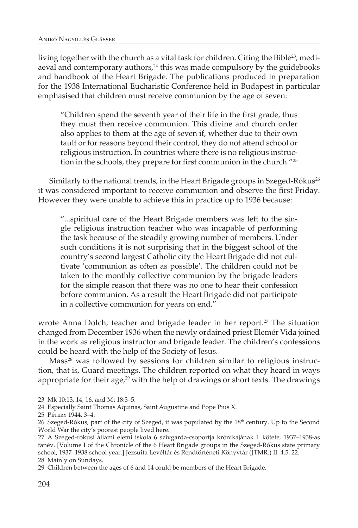living together with the church as a vital task for children. Citing the Bible<sup>23</sup>, mediaeval and contemporary authors, $24$  this was made compulsory by the guidebooks and handbook of the Heart Brigade. The publications produced in preparation for the 1938 International Eucharistic Conference held in Budapest in particular emphasised that children must receive communion by the age of seven:

"Children spend the seventh year of their life in the first grade, thus they must then receive communion. This divine and church order also applies to them at the age of seven if, whether due to their own fault or for reasons beyond their control, they do not attend school or religious instruction. In countries where there is no religious instruction in the schools, they prepare for first communion in the church."<sup>25</sup>

Similarly to the national trends, in the Heart Brigade groups in Szeged-Rókus<sup>26</sup> it was considered important to receive communion and observe the first Friday. However they were unable to achieve this in practice up to 1936 because:

"...spiritual care of the Heart Brigade members was left to the single religious instruction teacher who was incapable of performing the task because of the steadily growing number of members. Under such conditions it is not surprising that in the biggest school of the country's second largest Catholic city the Heart Brigade did not cultivate 'communion as often as possible'. The children could not be taken to the monthly collective communion by the brigade leaders for the simple reason that there was no one to hear their confession before communion. As a result the Heart Brigade did not participate in a collective communion for years on end."

wrote Anna Dolch, teacher and brigade leader in her report.<sup>27</sup> The situation changed from December 1936 when the newly ordained priest Elemér Vida joined in the work as religious instructor and brigade leader. The children's confessions could be heard with the help of the Society of Jesus.

Mass<sup>28</sup> was followed by sessions for children similar to religious instruction, that is, Guard meetings. The children reported on what they heard in ways appropriate for their age, $^{29}$  with the help of drawings or short texts. The drawings

<sup>23</sup> Mk 10:13, 14, 16. and Mt 18:3–5.

<sup>24</sup> Especially Saint Thomas Aquinas, Saint Augustine and Pope Pius X.

<sup>25</sup> Pétery 1944. 3–4.

<sup>26</sup> Szeged-Rókus, part of the city of Szeged, it was populated by the 18<sup>th</sup> century. Up to the Second World War the city's poorest people lived here.

<sup>27</sup> A Szeged-rókusi állami elemi iskola 6 szivgárda-csoportja krónikájának I. kötete, 1937–1938-as tanév. [Volume I of the Chronicle of the 6 Heart Brigade groups in the Szeged-Rókus state primary school, 1937–1938 school year.] Jezsuita Levéltár és Rendtörténeti Könyvtár (JTMR.) II. 4.5. 22. 28 Mainly on Sundays.

<sup>29</sup> Children between the ages of 6 and 14 could be members of the Heart Brigade.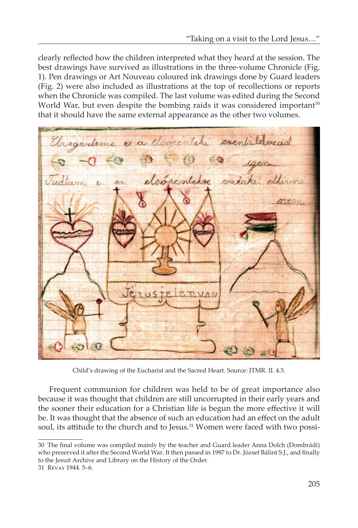clearly reflected how the children interpreted what they heard at the session. The best drawings have survived as illustrations in the three-volume Chronicle (Fig. 1). Pen drawings or Art Nouveau coloured ink drawings done by Guard leaders (Fig. 2) were also included as illustrations at the top of recollections or reports when the Chronicle was compiled. The last volume was edited during the Second World War, but even despite the bombing raids it was considered important<sup>30</sup> that it should have the same external appearance as the other two volumes.

a cloopertiti smentalelorad elsópéntebre valaki ethirs menn eruste **nvan** 

Child's drawing of the Eucharist and the Sacred Heart. Source: JTMR. II. 4.5.

Frequent communion for children was held to be of great importance also because it was thought that children are still uncorrupted in their early years and the sooner their education for a Christian life is begun the more effective it will be. It was thought that the absence of such an education had an effect on the adult soul, its attitude to the church and to Jesus.<sup>31</sup> Women were faced with two possi-

<sup>30</sup> The final volume was compiled mainly by the teacher and Guard leader Anna Dolch (Dombrádi) who preserved it after the Second World War. It then passed in 1987 to Dr. József Bálint S.J., and finally to the Jesuit Archive and Library on the History of the Order. 31 Révay 1944. 5–6.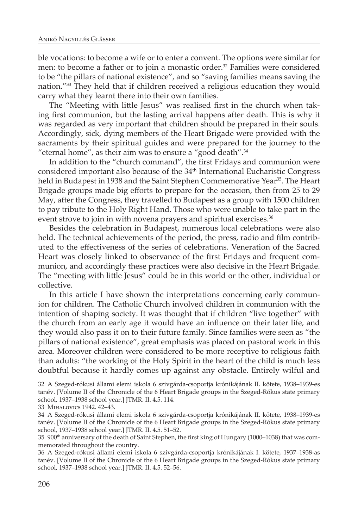ble vocations: to become a wife or to enter a convent. The options were similar for men: to become a father or to join a monastic order.<sup>32</sup> Families were considered to be "the pillars of national existence", and so "saving families means saving the nation."33 They held that if children received a religious education they would carry what they learnt there into their own families.

The "Meeting with little Jesus" was realised first in the church when taking first communion, but the lasting arrival happens after death. This is why it was regarded as very important that children should be prepared in their souls. Accordingly, sick, dying members of the Heart Brigade were provided with the sacraments by their spiritual guides and were prepared for the journey to the "eternal home", as their aim was to ensure a "good death". $34$ 

In addition to the "church command", the first Fridays and communion were considered important also because of the 34th International Eucharistic Congress held in Budapest in 1938 and the Saint Stephen Commemorative Year<sup>35</sup>. The Heart Brigade groups made big efforts to prepare for the occasion, then from 25 to 29 May, after the Congress, they travelled to Budapest as a group with 1500 children to pay tribute to the Holy Right Hand. Those who were unable to take part in the event strove to join in with novena prayers and spiritual exercises.<sup>36</sup>

Besides the celebration in Budapest, numerous local celebrations were also held. The technical achievements of the period, the press, radio and film contributed to the effectiveness of the series of celebrations. Veneration of the Sacred Heart was closely linked to observance of the first Fridays and frequent communion, and accordingly these practices were also decisive in the Heart Brigade. The "meeting with little Jesus" could be in this world or the other, individual or collective.

In this article I have shown the interpretations concerning early communion for children. The Catholic Church involved children in communion with the intention of shaping society. It was thought that if children "live together" with the church from an early age it would have an influence on their later life, and they would also pass it on to their future family. Since families were seen as "the pillars of national existence", great emphasis was placed on pastoral work in this area. Moreover children were considered to be more receptive to religious faith than adults: "the working of the Holy Spirit in the heart of the child is much less doubtful because it hardly comes up against any obstacle. Entirely wilful and

<sup>32</sup> A Szeged-rókusi állami elemi iskola 6 szivgárda-csoportja krónikájának II. kötete, 1938–1939-es tanév. [Volume II of the Chronicle of the 6 Heart Brigade groups in the Szeged-Rókus state primary school, 1937–1938 school year.] JTMR. II. 4.5. 114.

<sup>33</sup> Mihalovics 1942. 42–43.

<sup>34</sup> A Szeged-rókusi állami elemi iskola 6 szivgárda-csoportja krónikájának II. kötete, 1938–1939-es tanév. [Volume II of the Chronicle of the 6 Heart Brigade groups in the Szeged-Rókus state primary school, 1937–1938 school year.] JTMR. II. 4.5. 51–52.

<sup>35 900&</sup>lt;sup>th</sup> anniversary of the death of Saint Stephen, the first king of Hungary (1000–1038) that was commemorated throughout the country.

<sup>36</sup> A Szeged-rókusi állami elemi iskola 6 szivgárda-csoportja krónikájának I. kötete, 1937–1938-as tanév. [Volume II of the Chronicle of the 6 Heart Brigade groups in the Szeged-Rókus state primary school, 1937–1938 school year.] JTMR. II. 4.5. 52–56.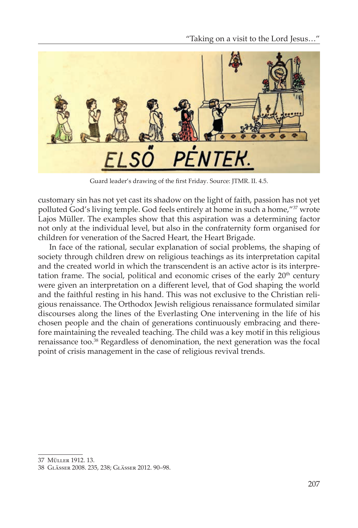"Taking on a visit to the Lord Jesus…"



Guard leader's drawing of the first Friday. Source: JTMR. II. 4.5.

customary sin has not yet cast its shadow on the light of faith, passion has not yet polluted God's living temple. God feels entirely at home in such a home,"<sup>37</sup> wrote Lajos Müller. The examples show that this aspiration was a determining factor not only at the individual level, but also in the confraternity form organised for children for veneration of the Sacred Heart, the Heart Brigade.

In face of the rational, secular explanation of social problems, the shaping of society through children drew on religious teachings as its interpretation capital and the created world in which the transcendent is an active actor is its interpretation frame. The social, political and economic crises of the early  $20<sup>th</sup>$  century were given an interpretation on a different level, that of God shaping the world and the faithful resting in his hand. This was not exclusive to the Christian religious renaissance. The Orthodox Jewish religious renaissance formulated similar discourses along the lines of the Everlasting One intervening in the life of his chosen people and the chain of generations continuously embracing and therefore maintaining the revealed teaching. The child was a key motif in this religious renaissance too.38 Regardless of denomination, the next generation was the focal point of crisis management in the case of religious revival trends.

<sup>37</sup> Müller 1912. 13.

<sup>38</sup> Glässer 2008. 235, 238; Glässer 2012. 90–98.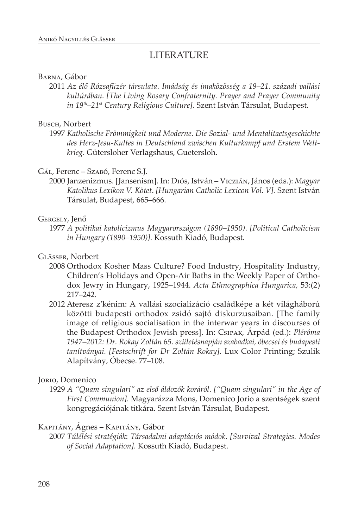## LITERATURE

### Barna, Gábor

2011 *Az élő Rózsafüzér társulata*. *Imádság és imaközösség a 19–21. századi vallási kultúrában. [The Living Rosary Confraternity. Prayer and Prayer Community in 19th–21st Century Religious Culture].* Szent István Társulat, Budapest.

#### Busch, Norbert

1997 *Katholische Frömmigkeit und Moderne*. *Die Sozial- und Mentalitaetsgeschichte des Herz-Jesu-Kultes in Deutschland zwischen Kulturkampf und Erstem Weltkrieg*. Gütersloher Verlagshaus, Guetersloh.

## Gál, Ferenc – Szabó, Ferenc S.J.

2000 Janzenizmus. [Jansenism]. In: Diós, István – Viczián, János (eds.): *Magyar Katolikus Lexikon V. Kötet*. *[Hungarian Catholic Lexicon Vol. V].* Szent István Társulat, Budapest, 665–666.

## Gergely, Jenő

1977 *A politikai katolicizmus Magyarországon (1890–1950)*. *[Political Catholicism in Hungary (1890–1950)].* Kossuth Kiadó, Budapest.

## Glässer, Norbert

- 2008 Orthodox Kosher Mass Culture? Food Industry, Hospitality Industry, Children's Holidays and Open-Air Baths in the Weekly Paper of Orthodox Jewry in Hungary, 1925–1944. *Acta Ethnographica Hungarica,* 53:(2) 217–242.
- 2012 Ateresz z'kénim: A vallási szocializáció családképe a két világháború közötti budapesti orthodox zsidó sajtó diskurzusaiban. [The family image of religious socialisation in the interwar years in discourses of the Budapest Orthodox Jewish press]. In: Csipak, Árpád (ed.): *Pléróma 1947–2012: Dr. Rokay Zoltán 65. születésnapján szabadkai, óbecsei és budapesti tanítványai. [Festschrift for Dr Zoltán Rokay].* Lux Color Printing; Szulik Alapítvány, Óbecse. 77–108.

## Jorio, Domenico

1929 *A "Quam singulari" az első áldozók koráról*. *["Quam singulari" in the Age of First Communion].* Magyarázza Mons, Domenico Jorio a szentségek szent kongregációjának titkára. Szent István Társulat, Budapest.

## Kapitány, Ágnes – Kapitány, Gábor

2007 *Túlélési stratégiák*: *Társadalmi adaptációs módok*. *[Survival Strategies. Modes of Social Adaptation].* Kossuth Kiadó, Budapest.